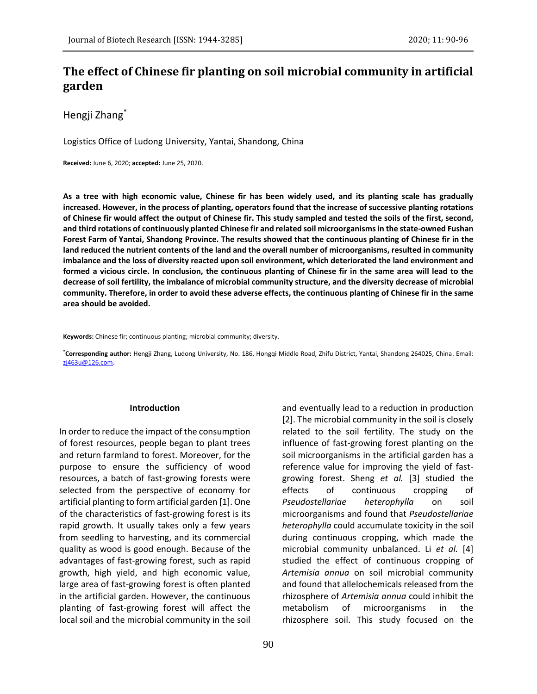# **The effect of Chinese fir planting on soil microbial community in artificial garden**

Hengji Zhang\*

Logistics Office of Ludong University, Yantai, Shandong, China

**Received:** June 6, 2020; **accepted:** June 25, 2020.

**As a tree with high economic value, Chinese fir has been widely used, and its planting scale has gradually increased. However, in the process of planting, operators found that the increase of successive planting rotations of Chinese fir would affect the output of Chinese fir. This study sampled and tested the soils of the first, second, and third rotations of continuously planted Chinese fir and related soil microorganisms in the state-owned Fushan Forest Farm of Yantai, Shandong Province. The results showed that the continuous planting of Chinese fir in the land reduced the nutrient contents of the land and the overall number of microorganisms, resulted in community imbalance and the loss of diversity reacted upon soil environment, which deteriorated the land environment and formed a vicious circle. In conclusion, the continuous planting of Chinese fir in the same area will lead to the decrease of soil fertility, the imbalance of microbial community structure, and the diversity decrease of microbial community. Therefore, in order to avoid these adverse effects, the continuous planting of Chinese fir in the same area should be avoided.**

**Keywords:** Chinese fir; continuous planting; microbial community; diversity.

**\*Corresponding author:** Hengji Zhang, Ludong University, No. 186, Hongqi Middle Road, Zhifu District, Yantai, Shandong 264025, China. Email: [zj463u@126.com.](mailto:zj463u@126.com) 

#### **Introduction**

In order to reduce the impact of the consumption of forest resources, people began to plant trees and return farmland to forest. Moreover, for the purpose to ensure the sufficiency of wood resources, a batch of fast-growing forests were selected from the perspective of economy for artificial planting to form artificial garden [1]. One of the characteristics of fast-growing forest is its rapid growth. It usually takes only a few years from seedling to harvesting, and its commercial quality as wood is good enough. Because of the advantages of fast-growing forest, such as rapid growth, high yield, and high economic value, large area of fast-growing forest is often planted in the artificial garden. However, the continuous planting of fast-growing forest will affect the local soil and the microbial community in the soil

metabolism of microorganisms in the rhizosphere soil. This study focused on the

and eventually lead to a reduction in production [2]. The microbial community in the soil is closely related to the soil fertility. The study on the influence of fast-growing forest planting on the soil microorganisms in the artificial garden has a reference value for improving the yield of fastgrowing forest. Sheng *et al.* [3] studied the effects of continuous cropping of *Pseudostellariae heterophylla* on soil microorganisms and found that *Pseudostellariae heterophylla* could accumulate toxicity in the soil during continuous cropping, which made the microbial community unbalanced. Li *et al.* [4] studied the effect of continuous cropping of *Artemisia annua* on soil microbial community and found that allelochemicals released from the rhizosphere of *Artemisia annua* could inhibit the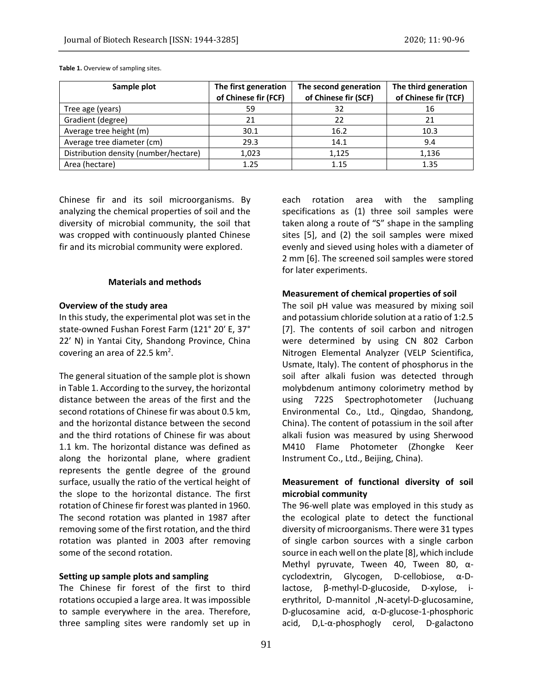| Sample plot                           | The first generation<br>of Chinese fir (FCF) | The second generation<br>of Chinese fir (SCF) | The third generation<br>of Chinese fir (TCF) |
|---------------------------------------|----------------------------------------------|-----------------------------------------------|----------------------------------------------|
| Tree age (years)                      | 59                                           | 32                                            | 16                                           |
| Gradient (degree)                     | 21                                           | 22                                            | 21                                           |
| Average tree height (m)               | 30.1                                         | 16.2                                          | 10.3                                         |
| Average tree diameter (cm)            | 29.3                                         | 14.1                                          | 9.4                                          |
| Distribution density (number/hectare) | 1,023                                        | 1,125                                         | 1,136                                        |
| Area (hectare)                        | 1.25                                         | 1.15                                          | 1.35                                         |

**Table 1.** Overview of sampling sites.

Chinese fir and its soil microorganisms. By analyzing the chemical properties of soil and the diversity of microbial community, the soil that was cropped with continuously planted Chinese fir and its microbial community were explored.

#### **Materials and methods**

## **Overview of the study area**

In this study, the experimental plot was set in the state-owned Fushan Forest Farm (121° 20′ E, 37° 22′ N) in Yantai City, Shandong Province, China covering an area of 22.5  $km^2$ .

The general situation of the sample plot is shown in Table 1. According to the survey, the horizontal distance between the areas of the first and the second rotations of Chinese fir was about 0.5 km, and the horizontal distance between the second and the third rotations of Chinese fir was about 1.1 km. The horizontal distance was defined as along the horizontal plane, where gradient represents the gentle degree of the ground surface, usually the ratio of the vertical height of the slope to the horizontal distance. The first rotation of Chinese fir forest was planted in 1960. The second rotation was planted in 1987 after removing some of the first rotation, and the third rotation was planted in 2003 after removing some of the second rotation.

### **Setting up sample plots and sampling**

The Chinese fir forest of the first to third rotations occupied a large area. It was impossible to sample everywhere in the area. Therefore, three sampling sites were randomly set up in

each rotation area with the sampling specifications as (1) three soil samples were taken along a route of "S" shape in the sampling sites [5], and (2) the soil samples were mixed evenly and sieved using holes with a diameter of 2 mm [6]. The screened soil samples were stored for later experiments.

### **Measurement of chemical properties of soil**

The soil pH value was measured by mixing soil and potassium chloride solution at a ratio of 1:2.5 [7]. The contents of soil carbon and nitrogen were determined by using CN 802 Carbon Nitrogen Elemental Analyzer (VELP Scientifica, Usmate, Italy). The content of phosphorus in the soil after alkali fusion was detected through molybdenum antimony colorimetry method by using 722S Spectrophotometer (Juchuang Environmental Co., Ltd., Qingdao, Shandong, China). The content of potassium in the soil after alkali fusion was measured by using Sherwood M410 Flame Photometer (Zhongke Keer Instrument Co., Ltd., Beijing, China).

# **Measurement of functional diversity of soil microbial community**

The 96-well plate was employed in this study as the ecological plate to detect the functional diversity of microorganisms. There were 31 types of single carbon sources with a single carbon source in each well on the plate [8], which include Methyl pyruvate, Tween 40, Tween 80, αcyclodextrin, Glycogen, D-cellobiose, α-Dlactose, β-methyl-D-glucoside, D-xylose, ierythritol, D-mannitol ,N-acetyl-D-glucosamine, D-glucosamine acid, α-D-glucose-1-phosphoric acid, D,L-α-phosphogly cerol, D-galactono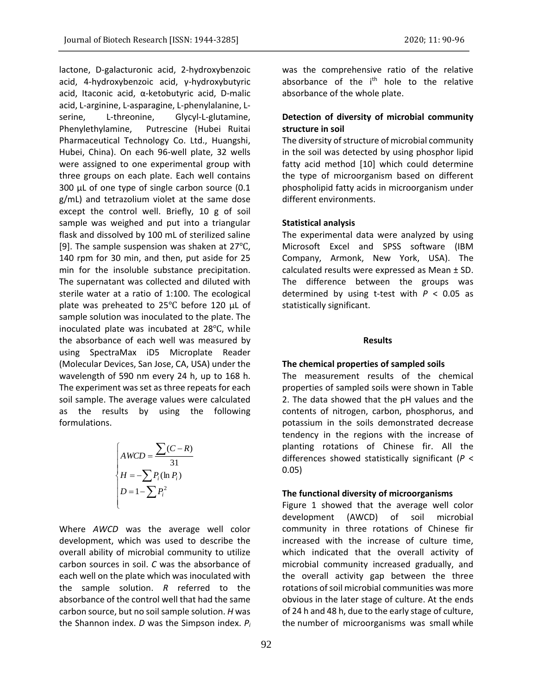lactone, D-galacturonic acid, 2-hydroxybenzoic acid, 4-hydroxybenzoic acid, γ-hydroxybutyric acid, Itaconic acid, α-ketobutyric acid, D-malic acid, L-arginine, L-asparagine, L-phenylalanine, Lserine, L-threonine, Glycyl-L-glutamine, Phenylethylamine, Putrescine (Hubei Ruitai Pharmaceutical Technology Co. Ltd., Huangshi, Hubei, China). On each 96-well plate, 32 wells were assigned to one experimental group with three groups on each plate. Each well contains 300 µL of one type of single carbon source (0.1 g/mL) and tetrazolium violet at the same dose except the control well. Briefly, 10 g of soil sample was weighed and put into a triangular flask and dissolved by 100 mL of sterilized saline [9]. The sample suspension was shaken at 27℃, 140 rpm for 30 min, and then, put aside for 25 min for the insoluble substance precipitation. The supernatant was collected and diluted with sterile water at a ratio of 1:100. The ecological plate was preheated to 25℃ before 120 μL of sample solution was inoculated to the plate. The inoculated plate was incubated at 28℃, while the absorbance of each well was measured by using SpectraMax iD5 Microplate Reader (Molecular Devices, San Jose, CA, USA) under the wavelength of 590 nm every 24 h, up to 168 h. The experiment was set as three repeats for each soil sample. The average values were calculated as the results by using the following formulations.

$$
\begin{cases}\nAWCD = \frac{\sum (C - R)}{31} \\
H = -\sum P_i(\ln P_i) \\
D = 1 - \sum P_i^2\n\end{cases}
$$

Where *AWCD* was the average well color development, which was used to describe the overall ability of microbial community to utilize carbon sources in soil. *C* was the absorbance of each well on the plate which was inoculated with the sample solution. *R* referred to the absorbance of the control well that had the same carbon source, but no soil sample solution. *H* was the Shannon index. *D* was the Simpson index. *P<sup>i</sup>* was the comprehensive ratio of the relative absorbance of the i<sup>th</sup> hole to the relative absorbance of the whole plate.

## **Detection of diversity of microbial community structure in soil**

The diversity of structure of microbial community in the soil was detected by using phosphor lipid fatty acid method [10] which could determine the type of microorganism based on different phospholipid fatty acids in microorganism under different environments.

## **Statistical analysis**

The experimental data were analyzed by using Microsoft Excel and SPSS software (IBM Company, Armonk, New York, USA). The calculated results were expressed as Mean ± SD. The difference between the groups was determined by using t-test with *P* < 0.05 as statistically significant.

#### **Results**

## **The chemical properties of sampled soils**

The measurement results of the chemical properties of sampled soils were shown in Table 2. The data showed that the pH values and the contents of nitrogen, carbon, phosphorus, and potassium in the soils demonstrated decrease tendency in the regions with the increase of planting rotations of Chinese fir. All the differences showed statistically significant (*P* < 0.05)

## **The functional diversity of microorganisms**

Figure 1 showed that the average well color development (AWCD) of soil microbial community in three rotations of Chinese fir increased with the increase of culture time, which indicated that the overall activity of microbial community increased gradually, and the overall activity gap between the three rotations of soil microbial communities was more obvious in the later stage of culture. At the ends of 24 h and 48 h, due to the early stage of culture, the number of microorganisms was small while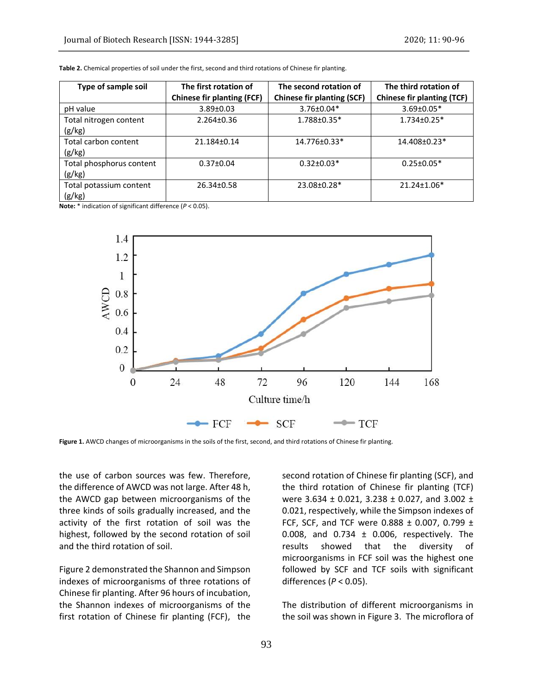| Type of sample soil      | The first rotation of             | The second rotation of            | The third rotation of             |
|--------------------------|-----------------------------------|-----------------------------------|-----------------------------------|
|                          | <b>Chinese fir planting (FCF)</b> | <b>Chinese fir planting (SCF)</b> | <b>Chinese fir planting (TCF)</b> |
| pH value                 | $3.89 \pm 0.03$                   | 3.76±0.04*                        | $3.69 \pm 0.05*$                  |
| Total nitrogen content   | $2.264 \pm 0.36$                  | 1.788±0.35*                       | $1.734 \pm 0.25$ *                |
| (g/kg)                   |                                   |                                   |                                   |
| Total carbon content     | 21.184±0.14                       | 14.776±0.33*                      | 14.408±0.23*                      |
| (g/kg)                   |                                   |                                   |                                   |
| Total phosphorus content | $0.37 \pm 0.04$                   | $0.32 \pm 0.03*$                  | $0.25 \pm 0.05*$                  |
| (g/kg)                   |                                   |                                   |                                   |
| Total potassium content  | 26.34±0.58                        | 23.08±0.28*                       | 21.24±1.06*                       |
| (g/kg)                   |                                   |                                   |                                   |

**Table 2.** Chemical properties of soil under the first, second and third rotations of Chinese fir planting.

**Note:** \* indication of significant difference (*P* < 0.05).



**Figure 1.** AWCD changes of microorganisms in the soils of the first, second, and third rotations of Chinese fir planting.

the use of carbon sources was few. Therefore, the difference of AWCD was not large. After 48 h, the AWCD gap between microorganisms of the three kinds of soils gradually increased, and the activity of the first rotation of soil was the highest, followed by the second rotation of soil and the third rotation of soil.

Figure 2 demonstrated the Shannon and Simpson indexes of microorganisms of three rotations of Chinese fir planting. After 96 hours of incubation, the Shannon indexes of microorganisms of the first rotation of Chinese fir planting (FCF), the

second rotation of Chinese fir planting (SCF), and the third rotation of Chinese fir planting (TCF) were 3.634 ± 0.021, 3.238 ± 0.027, and 3.002 ± 0.021, respectively, while the Simpson indexes of FCF, SCF, and TCF were 0.888 ± 0.007, 0.799 ± 0.008, and 0.734 ± 0.006, respectively. The results showed that the diversity of microorganisms in FCF soil was the highest one followed by SCF and TCF soils with significant differences (*P* < 0.05).

The distribution of different microorganisms in the soil was shown in Figure 3. The microflora of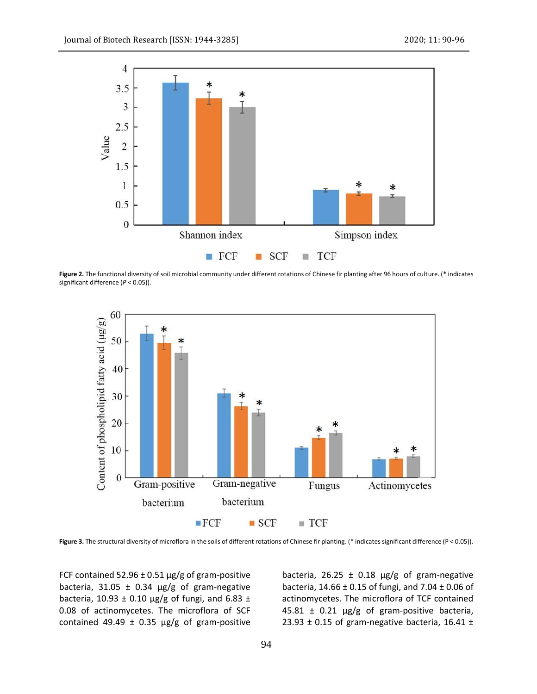

**Figure 2.** The functional diversity of soil microbial community under different rotations of Chinese fir planting after 96 hours of culture. (\* indicates significant difference (*P* < 0.05)).



**Figure 3.** The structural diversity of microflora in the soils of different rotations of Chinese fir planting. (\* indicates significant difference (P < 0.05)).

FCF contained 52.96  $\pm$  0.51  $\mu$ g/g of gram-positive bacteria, 31.05  $\pm$  0.34  $\mu$ g/g of gram-negative bacteria, 10.93  $\pm$  0.10  $\mu$ g/g of fungi, and 6.83  $\pm$ 0.08 of actinomycetes. The microflora of SCF contained 49.49  $\pm$  0.35  $\mu$ g/g of gram-positive bacteria, 26.25  $\pm$  0.18  $\mu$ g/g of gram-negative bacteria,  $14.66 \pm 0.15$  of fungi, and  $7.04 \pm 0.06$  of actinomycetes. The microflora of TCF contained  $45.81 \pm 0.21$   $\mu$ g/g of gram-positive bacteria, 23.93  $\pm$  0.15 of gram-negative bacteria, 16.41  $\pm$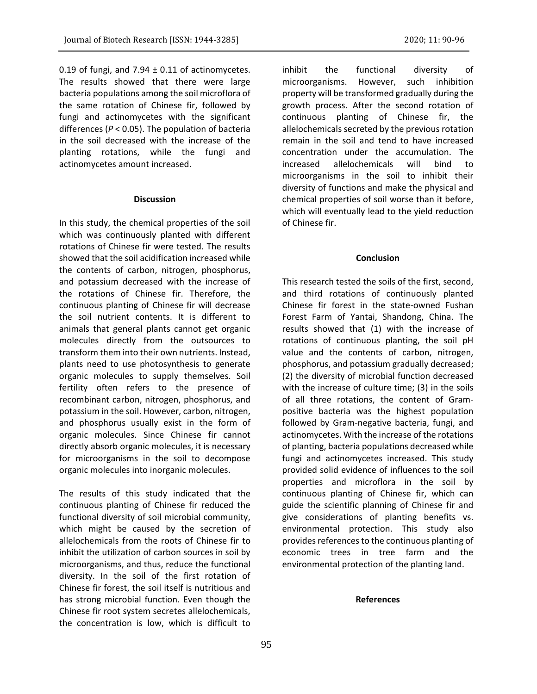0.19 of fungi, and 7.94  $\pm$  0.11 of actinomycetes. The results showed that there were large bacteria populations among the soil microflora of the same rotation of Chinese fir, followed by fungi and actinomycetes with the significant differences (*P* < 0.05). The population of bacteria in the soil decreased with the increase of the planting rotations, while the fungi and actinomycetes amount increased.

#### **Discussion**

In this study, the chemical properties of the soil which was continuously planted with different rotations of Chinese fir were tested. The results showed that the soil acidification increased while the contents of carbon, nitrogen, phosphorus, and potassium decreased with the increase of the rotations of Chinese fir. Therefore, the continuous planting of Chinese fir will decrease the soil nutrient contents. It is different to animals that general plants cannot get organic molecules directly from the outsources to transform them into their own nutrients. Instead, plants need to use photosynthesis to generate organic molecules to supply themselves. Soil fertility often refers to the presence of recombinant carbon, nitrogen, phosphorus, and potassium in the soil. However, carbon, nitrogen, and phosphorus usually exist in the form of organic molecules. Since Chinese fir cannot directly absorb organic molecules, it is necessary for microorganisms in the soil to decompose organic molecules into inorganic molecules.

The results of this study indicated that the continuous planting of Chinese fir reduced the functional diversity of soil microbial community, which might be caused by the secretion of allelochemicals from the roots of Chinese fir to inhibit the utilization of carbon sources in soil by microorganisms, and thus, reduce the functional diversity. In the soil of the first rotation of Chinese fir forest, the soil itself is nutritious and has strong microbial function. Even though the Chinese fir root system secretes allelochemicals, the concentration is low, which is difficult to

inhibit the functional diversity of microorganisms. However, such inhibition property will be transformed gradually during the growth process. After the second rotation of continuous planting of Chinese fir, the allelochemicals secreted by the previous rotation remain in the soil and tend to have increased concentration under the accumulation. The increased allelochemicals will bind to microorganisms in the soil to inhibit their diversity of functions and make the physical and chemical properties of soil worse than it before, which will eventually lead to the yield reduction of Chinese fir.

#### **Conclusion**

This research tested the soils of the first, second, and third rotations of continuously planted Chinese fir forest in the state-owned Fushan Forest Farm of Yantai, Shandong, China. The results showed that (1) with the increase of rotations of continuous planting, the soil pH value and the contents of carbon, nitrogen, phosphorus, and potassium gradually decreased; (2) the diversity of microbial function decreased with the increase of culture time; (3) in the soils of all three rotations, the content of Grampositive bacteria was the highest population followed by Gram-negative bacteria, fungi, and actinomycetes. With the increase of the rotations of planting, bacteria populations decreased while fungi and actinomycetes increased. This study provided solid evidence of influences to the soil properties and microflora in the soil by continuous planting of Chinese fir, which can guide the scientific planning of Chinese fir and give considerations of planting benefits vs. environmental protection. This study also provides references to the continuous planting of economic trees in tree farm and the environmental protection of the planting land.

### **References**